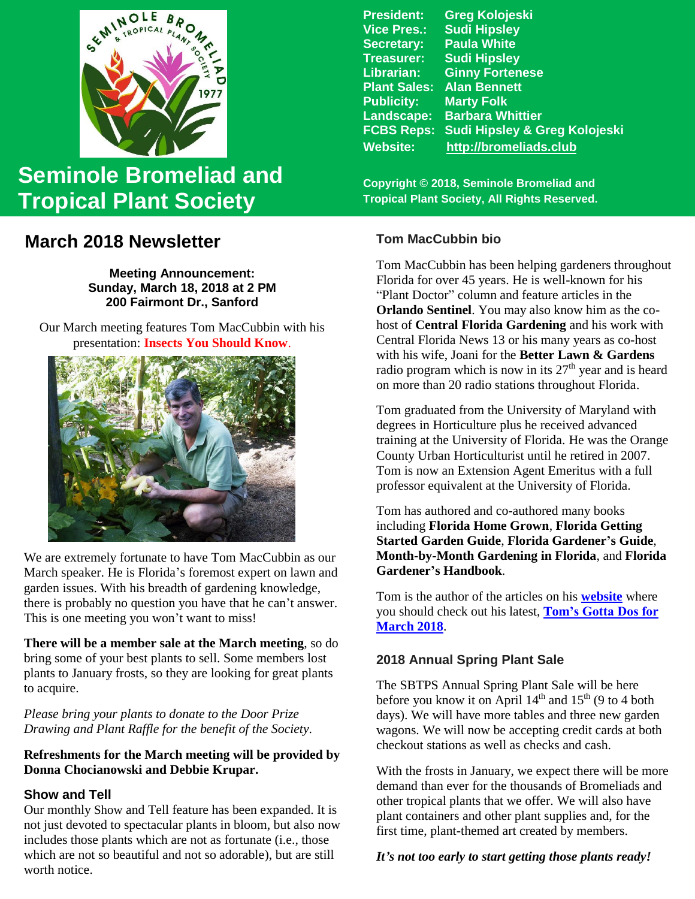

# **Seminole Bromeliad and Tropical Plant Society**

## **March 2018 Newsletter**

**Meeting Announcement: Sunday, March 18, 2018 at 2 PM 200 Fairmont Dr., Sanford**

 Our March meeting features Tom MacCubbin with his presentation: **Insects You Should Know**.



We are extremely fortunate to have Tom MacCubbin as our March speaker. He is Florida's foremost expert on lawn and garden issues. With his breadth of gardening knowledge, there is probably no question you have that he can't answer. This is one meeting you won't want to miss!

**There will be a member sale at the March meeting**, so do bring some of your best plants to sell. Some members lost plants to January frosts, so they are looking for great plants to acquire.

*Please bring your plants to donate to the Door Prize Drawing and Plant Raffle for the benefit of the Society.*

## **Refreshments for the March meeting will be provided by Donna Chocianowski and Debbie Krupar.**

## **Show and Tell**

Our monthly Show and Tell feature has been expanded. It is not just devoted to spectacular plants in bloom, but also now includes those plants which are not as fortunate (i.e., those which are not so beautiful and not so adorable), but are still worth notice.

**President: Greg Kolojeski Vice Pres.: Sudi Hipsley Secretary: Paula White Treasurer: Sudi Hipsley Librarian: Ginny Fortenese Plant Sales: Alan Bennett**<br>**Publicity: Marty Folk Marty Folk Landscape: Barbara Whittier FCBS Reps: Sudi Hipsley & Greg Kolojeski Website: [http://bromeliads.club](http://bromeliads.club/)**

**Copyright © 2018, Seminole Bromeliad and Tropical Plant Society, All Rights Reserved.**

## **Tom MacCubbin bio**

Tom MacCubbin has been helping gardeners throughout Florida for over 45 years. He is well-known for his "Plant Doctor" column and feature articles in the **Orlando Sentinel**. You may also know him as the cohost of **Central Florida Gardening** and his work with Central Florida News 13 or his many years as co-host with his wife, Joani for the **Better Lawn & Gardens**  radio program which is now in its  $27<sup>th</sup>$  year and is heard on more than 20 radio stations throughout Florida.

Tom graduated from the University of Maryland with degrees in Horticulture plus he received advanced training at the University of Florida. He was the Orange County Urban Horticulturist until he retired in 2007. Tom is now an Extension Agent Emeritus with a full professor equivalent at the University of Florida.

Tom has authored and co-authored many books including **Florida Home Grown**, **Florida Getting Started Garden Guide**, **Florida Gardener's Guide**, **Month-by-Month Gardening in Florida**, and **Florida Gardener's Handbook**.

Tom is the author of the articles on his **[website](http://betterlawns.com/homenew.asp)** where you should check out his latest, **[Tom's Gotta Dos for](http://betterlawns.com/story.asp?storyid=30683&pos=700)  [March 2018](http://betterlawns.com/story.asp?storyid=30683&pos=700)**.

## **2018 Annual Spring Plant Sale**

The SBTPS Annual Spring Plant Sale will be here before you know it on April  $14<sup>th</sup>$  and  $15<sup>th</sup>$  (9 to 4 both days). We will have more tables and three new garden wagons. We will now be accepting credit cards at both checkout stations as well as checks and cash.

With the frosts in January, we expect there will be more demand than ever for the thousands of Bromeliads and other tropical plants that we offer. We will also have plant containers and other plant supplies and, for the first time, plant-themed art created by members.

## *It's not too early to start getting those plants ready!*